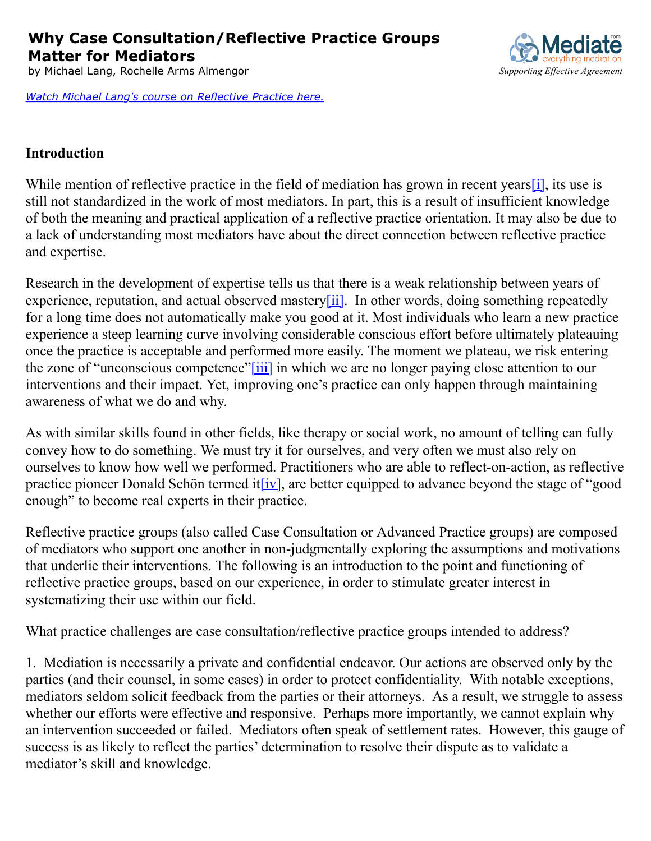**Why Case Consultation/Reflective Practice Groups Matter for Mediators**

by Michael Lang, Rochelle Arms Almengor *S[upporting Effective Agreement](http://www.mediate.com/)* 

*[Watch Michael Lang's course on Reflective Practice here.](http://www.mediate.com/University/pg77.cfm)*

## **Introduction**

While mention of reflective practice in the field of mediation has grown in recent years[\[i\],](file:///C:/Users/clare/AppData/Local/Temp/purpose%20of%20RP%20groups-v.6%20(RA).docx#_edn1) its use is still not standardized in the work of most mediators. In part, this is a result of insufficient knowledge of both the meaning and practical application of a reflective practice orientation. It may also be due to a lack of understanding most mediators have about the direct connection between reflective practice and expertise.

Research in the development of expertise tells us that there is a weak relationship between years of experience, reputation, and actual observed mastery $[i]$ . In other words, doing something repeatedly for a long time does not automatically make you good at it. Most individuals who learn a new practice experience a steep learning curve involving considerable conscious effort before ultimately plateauing once the practice is acceptable and performed more easily. The moment we plateau, we risk entering the zone of "unconscious competence["\[iii\]](file:///C:/Users/clare/AppData/Local/Temp/purpose%20of%20RP%20groups-v.6%20(RA).docx#_edn3) in which we are no longer paying close attention to our interventions and their impact. Yet, improving one's practice can only happen through maintaining awareness of what we do and why.

As with similar skills found in other fields, like therapy or social work, no amount of telling can fully convey how to do something. We must try it for ourselves, and very often we must also rely on ourselves to know how well we performed. Practitioners who are able to reflect-on-action, as reflective practice pioneer Donald Schön termed it  $(iv]$ , are better equipped to advance beyond the stage of "good" enough" to become real experts in their practice.

Reflective practice groups (also called Case Consultation or Advanced Practice groups) are composed of mediators who support one another in non-judgmentally exploring the assumptions and motivations that underlie their interventions. The following is an introduction to the point and functioning of reflective practice groups, based on our experience, in order to stimulate greater interest in systematizing their use within our field.

What practice challenges are case consultation/reflective practice groups intended to address?

1. Mediation is necessarily a private and confidential endeavor. Our actions are observed only by the parties (and their counsel, in some cases) in order to protect confidentiality. With notable exceptions, mediators seldom solicit feedback from the parties or their attorneys. As a result, we struggle to assess whether our efforts were effective and responsive. Perhaps more importantly, we cannot explain why an intervention succeeded or failed. Mediators often speak of settlement rates. However, this gauge of success is as likely to reflect the parties' determination to resolve their dispute as to validate a mediator's skill and knowledge.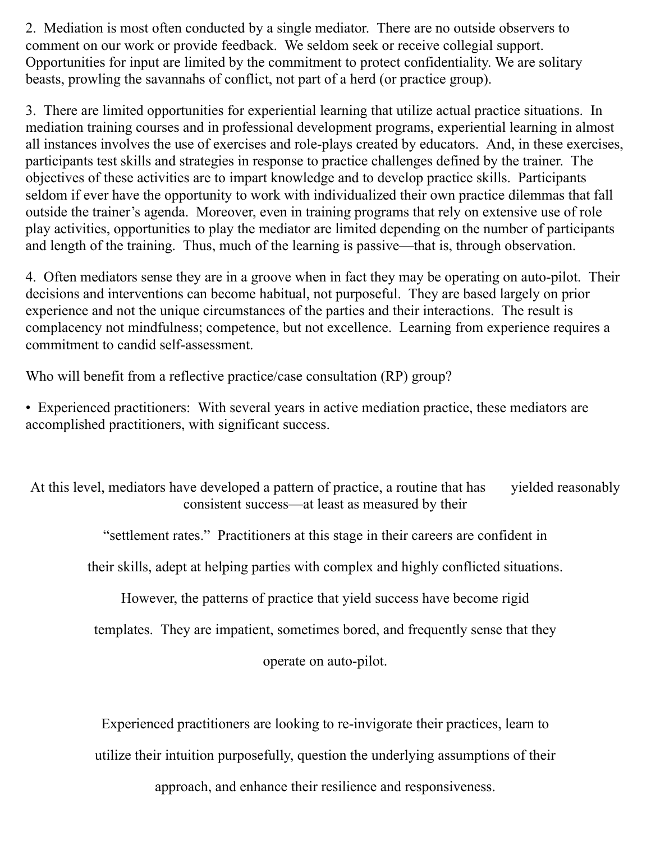2. Mediation is most often conducted by a single mediator. There are no outside observers to comment on our work or provide feedback. We seldom seek or receive collegial support. Opportunities for input are limited by the commitment to protect confidentiality. We are solitary beasts, prowling the savannahs of conflict, not part of a herd (or practice group).

3. There are limited opportunities for experiential learning that utilize actual practice situations. In mediation training courses and in professional development programs, experiential learning in almost all instances involves the use of exercises and role-plays created by educators. And, in these exercises, participants test skills and strategies in response to practice challenges defined by the trainer. The objectives of these activities are to impart knowledge and to develop practice skills. Participants seldom if ever have the opportunity to work with individualized their own practice dilemmas that fall outside the trainer's agenda. Moreover, even in training programs that rely on extensive use of role play activities, opportunities to play the mediator are limited depending on the number of participants and length of the training. Thus, much of the learning is passive—that is, through observation.

4. Often mediators sense they are in a groove when in fact they may be operating on auto-pilot. Their decisions and interventions can become habitual, not purposeful. They are based largely on prior experience and not the unique circumstances of the parties and their interactions. The result is complacency not mindfulness; competence, but not excellence. Learning from experience requires a commitment to candid self-assessment.

Who will benefit from a reflective practice/case consultation (RP) group?

• Experienced practitioners: With several years in active mediation practice, these mediators are accomplished practitioners, with significant success.

At this level, mediators have developed a pattern of practice, a routine that has yielded reasonably consistent success—at least as measured by their

"settlement rates." Practitioners at this stage in their careers are confident in

their skills, adept at helping parties with complex and highly conflicted situations.

However, the patterns of practice that yield success have become rigid

templates. They are impatient, sometimes bored, and frequently sense that they

operate on auto-pilot.

Experienced practitioners are looking to re-invigorate their practices, learn to

utilize their intuition purposefully, question the underlying assumptions of their

approach, and enhance their resilience and responsiveness.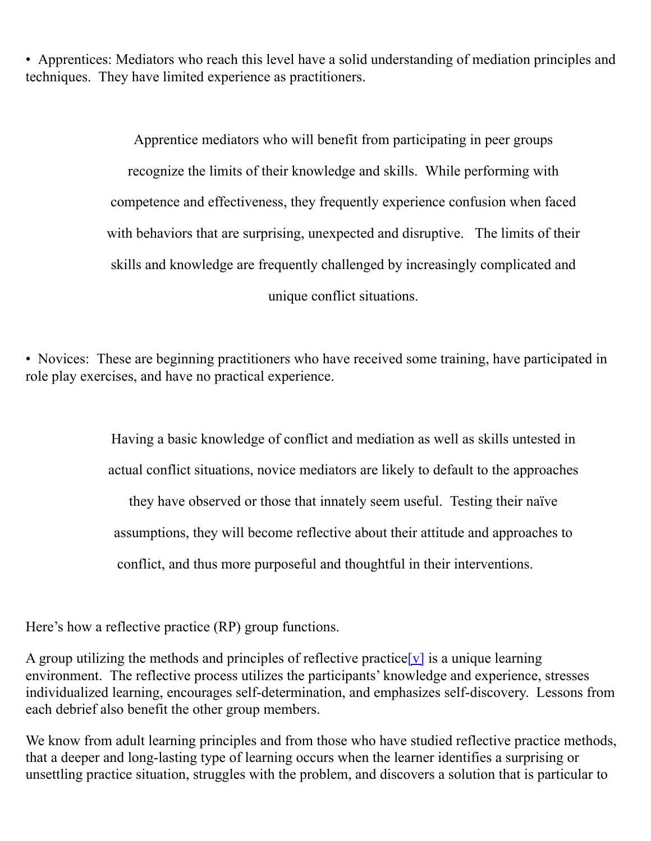• Apprentices: Mediators who reach this level have a solid understanding of mediation principles and techniques. They have limited experience as practitioners.

> Apprentice mediators who will benefit from participating in peer groups recognize the limits of their knowledge and skills. While performing with competence and effectiveness, they frequently experience confusion when faced with behaviors that are surprising, unexpected and disruptive. The limits of their skills and knowledge are frequently challenged by increasingly complicated and unique conflict situations.

• Novices: These are beginning practitioners who have received some training, have participated in role play exercises, and have no practical experience.

> Having a basic knowledge of conflict and mediation as well as skills untested in actual conflict situations, novice mediators are likely to default to the approaches they have observed or those that innately seem useful. Testing their naïve assumptions, they will become reflective about their attitude and approaches to conflict, and thus more purposeful and thoughtful in their interventions.

Here's how a reflective practice (RP) group functions.

A group utilizing the methods and principles of reflective practice  $[v]$  is a unique learning environment. The reflective process utilizes the participants' knowledge and experience, stresses individualized learning, encourages self-determination, and emphasizes self-discovery. Lessons from each debrief also benefit the other group members.

We know from adult learning principles and from those who have studied reflective practice methods, that a deeper and long-lasting type of learning occurs when the learner identifies a surprising or unsettling practice situation, struggles with the problem, and discovers a solution that is particular to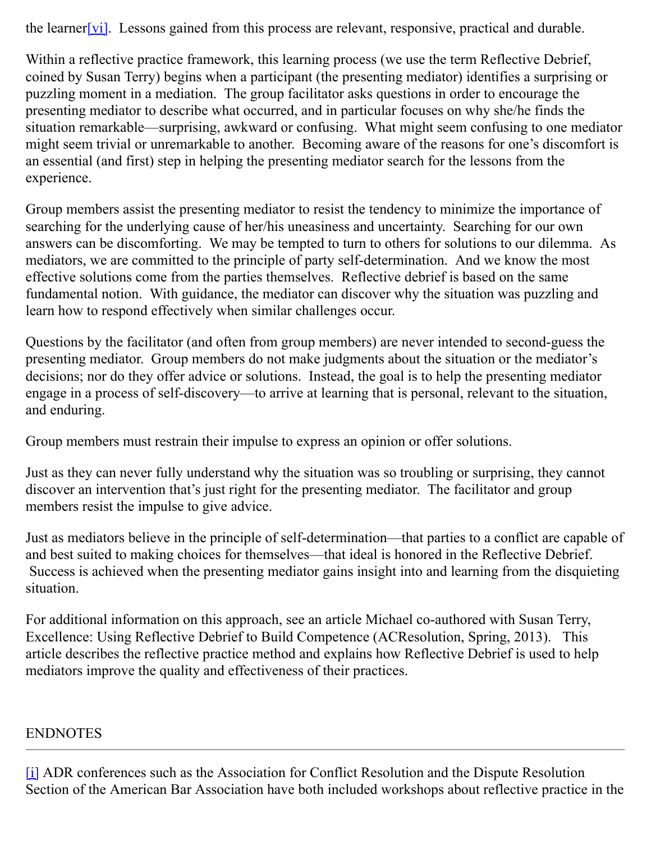the learner  $\boxed{vi}$ . Lessons gained from this process are relevant, responsive, practical and durable.

Within a reflective practice framework, this learning process (we use the term Reflective Debrief, coined by Susan Terry) begins when a participant (the presenting mediator) identifies a surprising or puzzling moment in a mediation. The group facilitator asks questions in order to encourage the presenting mediator to describe what occurred, and in particular focuses on why she/he finds the situation remarkable—surprising, awkward or confusing. What might seem confusing to one mediator might seem trivial or unremarkable to another. Becoming aware of the reasons for one's discomfort is an essential (and first) step in helping the presenting mediator search for the lessons from the experience.

Group members assist the presenting mediator to resist the tendency to minimize the importance of searching for the underlying cause of her/his uneasiness and uncertainty. Searching for our own answers can be discomforting. We may be tempted to turn to others for solutions to our dilemma. As mediators, we are committed to the principle of party self-determination. And we know the most effective solutions come from the parties themselves. Reflective debrief is based on the same fundamental notion. With guidance, the mediator can discover why the situation was puzzling and learn how to respond effectively when similar challenges occur.

Questions by the facilitator (and often from group members) are never intended to second-guess the presenting mediator. Group members do not make judgments about the situation or the mediator's decisions; nor do they offer advice or solutions. Instead, the goal is to help the presenting mediator engage in a process of self-discovery—to arrive at learning that is personal, relevant to the situation, and enduring.

Group members must restrain their impulse to express an opinion or offer solutions.

Just as they can never fully understand why the situation was so troubling or surprising, they cannot discover an intervention that's just right for the presenting mediator. The facilitator and group members resist the impulse to give advice.

Just as mediators believe in the principle of self-determination—that parties to a conflict are capable of and best suited to making choices for themselves—that ideal is honored in the Reflective Debrief. Success is achieved when the presenting mediator gains insight into and learning from the disquieting situation.

For additional information on this approach, see an article Michael co-authored with Susan Terry, Excellence: Using Reflective Debrief to Build Competence (ACResolution, Spring, 2013). This article describes the reflective practice method and explains how Reflective Debrief is used to help mediators improve the quality and effectiveness of their practices.

## ENDNOTES

[\[i\]](file:///C:/Users/clare/AppData/Local/Temp/purpose%20of%20RP%20groups-v.6%20(RA).docx#_ednref1) ADR conferences such as the Association for Conflict Resolution and the Dispute Resolution Section of the American Bar Association have both included workshops about reflective practice in the